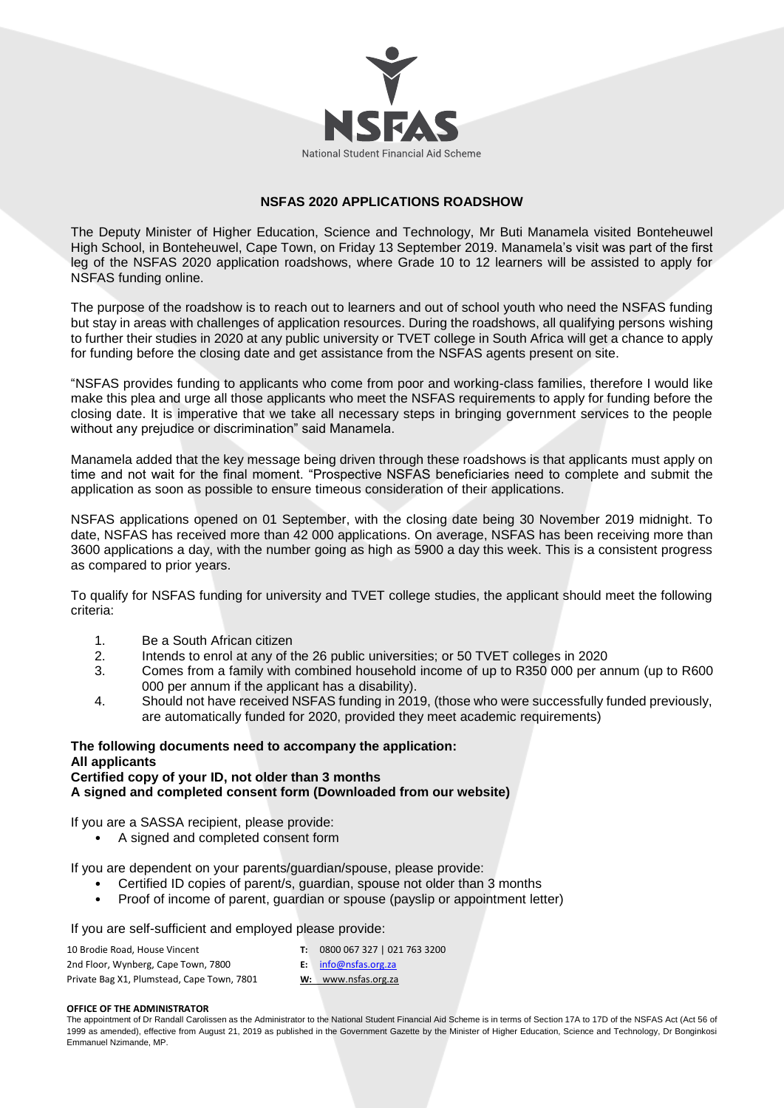

# **NSFAS 2020 APPLICATIONS ROADSHOW**

The Deputy Minister of Higher Education, Science and Technology, Mr Buti Manamela visited Bonteheuwel High School, in Bonteheuwel, Cape Town, on Friday 13 September 2019. Manamela's visit was part of the first leg of the NSFAS 2020 application roadshows, where Grade 10 to 12 learners will be assisted to apply for NSFAS funding online.

The purpose of the roadshow is to reach out to learners and out of school youth who need the NSFAS funding but stay in areas with challenges of application resources. During the roadshows, all qualifying persons wishing to further their studies in 2020 at any public university or TVET college in South Africa will get a chance to apply for funding before the closing date and get assistance from the NSFAS agents present on site.

"NSFAS provides funding to applicants who come from poor and working-class families, therefore I would like make this plea and urge all those applicants who meet the NSFAS requirements to apply for funding before the closing date. It is imperative that we take all necessary steps in bringing government services to the people without any prejudice or discrimination" said Manamela.

Manamela added that the key message being driven through these roadshows is that applicants must apply on time and not wait for the final moment. "Prospective NSFAS beneficiaries need to complete and submit the application as soon as possible to ensure timeous consideration of their applications.

NSFAS applications opened on 01 September, with the closing date being 30 November 2019 midnight. To date, NSFAS has received more than 42 000 applications. On average, NSFAS has been receiving more than 3600 applications a day, with the number going as high as 5900 a day this week. This is a consistent progress as compared to prior years.

To qualify for NSFAS funding for university and TVET college studies, the applicant should meet the following criteria:

- 1. Be a South African citizen
- 2. Intends to enrol at any of the 26 public universities; or 50 TVET colleges in 2020
- 3. Comes from a family with combined household income of up to R350 000 per annum (up to R600 000 per annum if the applicant has a disability).
- 4. Should not have received NSFAS funding in 2019, (those who were successfully funded previously, are automatically funded for 2020, provided they meet academic requirements)

### **The following documents need to accompany the application: All applicants Certified copy of your ID, not older than 3 months A signed and completed consent form (Downloaded from our website)**

If you are a SASSA recipient, please provide:

• A signed and completed consent form

If you are dependent on your parents/guardian/spouse, please provide:

- Certified ID copies of parent/s, guardian, spouse not older than 3 months
- Proof of income of parent, guardian or spouse (payslip or appointment letter)

If you are self-sufficient and employed please provide:

| 10 Brodie Road, House Vincent              | $\mathbf{T}$ : | 0800 067 327   021 763 3200 |
|--------------------------------------------|----------------|-----------------------------|
| 2nd Floor, Wynberg, Cape Town, 7800        |                | $E:$ info@nsfas.org.za      |
| Private Bag X1, Plumstead, Cape Town, 7801 |                | W: www.nsfas.org.za         |

#### **OFFICE OF THE ADMINISTRATOR**

The appointment of Dr Randall Carolissen as the Administrator to the National Student Financial Aid Scheme is in terms of Section 17A to 17D of the NSFAS Act (Act 56 of 1999 as amended), effective from August 21, 2019 as published in the Government Gazette by the Minister of Higher Education, Science and Technology, Dr Bonginkosi Emmanuel Nzimande, MP.